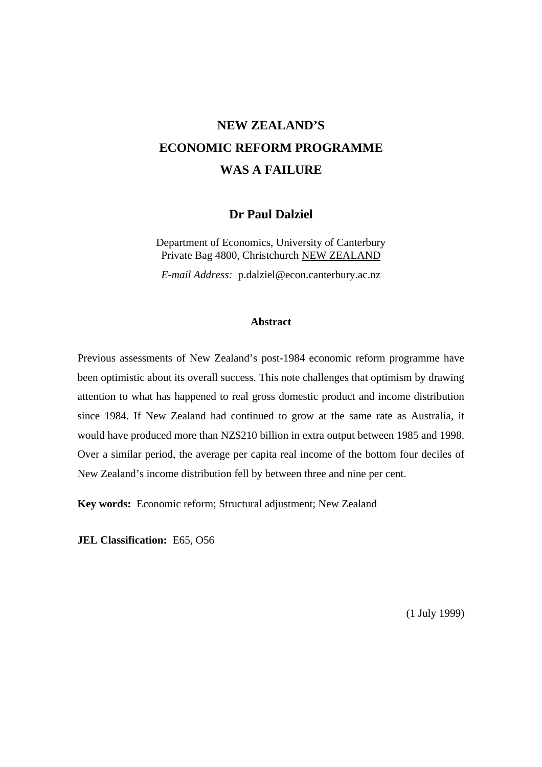# **NEW ZEALAND'S ECONOMIC REFORM PROGRAMME WAS A FAILURE**

## **Dr Paul Dalziel**

Department of Economics, University of Canterbury Private Bag 4800, Christchurch NEW ZEALAND

*E-mail Address:* p.dalziel@econ.canterbury.ac.nz

#### **Abstract**

Previous assessments of New Zealand's post-1984 economic reform programme have been optimistic about its overall success. This note challenges that optimism by drawing attention to what has happened to real gross domestic product and income distribution since 1984. If New Zealand had continued to grow at the same rate as Australia, it would have produced more than NZ\$210 billion in extra output between 1985 and 1998. Over a similar period, the average per capita real income of the bottom four deciles of New Zealand's income distribution fell by between three and nine per cent.

**Key words:** Economic reform; Structural adjustment; New Zealand

**JEL Classification:** E65, O56

(1 July 1999)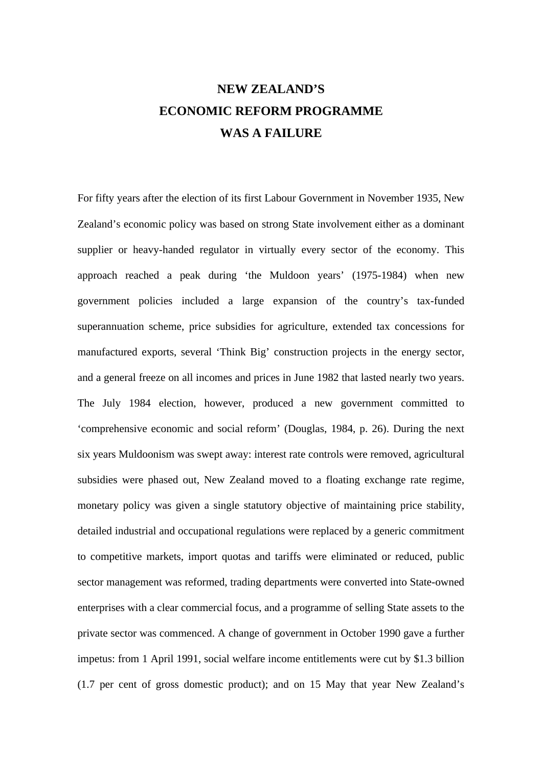# **NEW ZEALAND'S ECONOMIC REFORM PROGRAMME WAS A FAILURE**

For fifty years after the election of its first Labour Government in November 1935, New Zealand's economic policy was based on strong State involvement either as a dominant supplier or heavy-handed regulator in virtually every sector of the economy. This approach reached a peak during 'the Muldoon years' (1975-1984) when new government policies included a large expansion of the country's tax-funded superannuation scheme, price subsidies for agriculture, extended tax concessions for manufactured exports, several 'Think Big' construction projects in the energy sector, and a general freeze on all incomes and prices in June 1982 that lasted nearly two years. The July 1984 election, however, produced a new government committed to 'comprehensive economic and social reform' (Douglas, 1984, p. 26). During the next six years Muldoonism was swept away: interest rate controls were removed, agricultural subsidies were phased out, New Zealand moved to a floating exchange rate regime, monetary policy was given a single statutory objective of maintaining price stability, detailed industrial and occupational regulations were replaced by a generic commitment to competitive markets, import quotas and tariffs were eliminated or reduced, public sector management was reformed, trading departments were converted into State-owned enterprises with a clear commercial focus, and a programme of selling State assets to the private sector was commenced. A change of government in October 1990 gave a further impetus: from 1 April 1991, social welfare income entitlements were cut by \$1.3 billion (1.7 per cent of gross domestic product); and on 15 May that year New Zealand's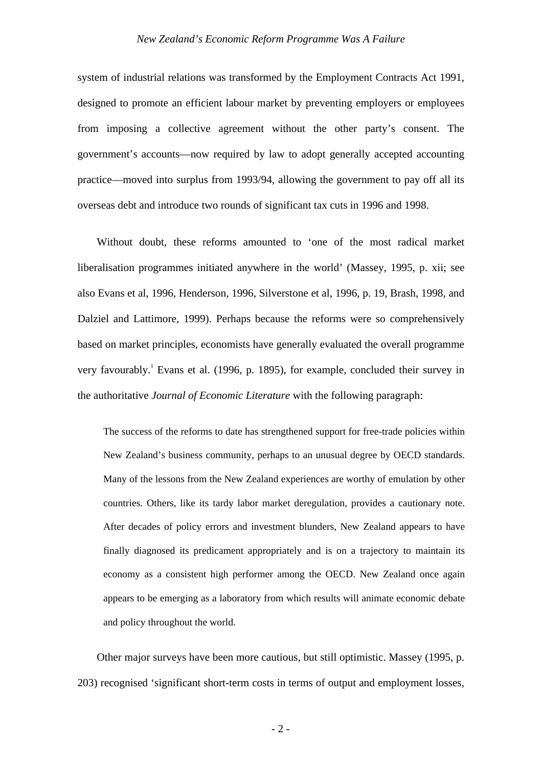#### *New Zealand's Economic Reform Programme Was A Failure*

system of industrial relations was transformed by the Employment Contracts Act 1991, designed to promote an efficient labour market by preventing employers or employees from imposing a collective agreement without the other party's consent. The government's accounts—now required by law to adopt generally accepted accounting practice—moved into surplus from 1993/94, allowing the government to pay off all its overseas debt and introduce two rounds of significant tax cuts in 1996 and 1998.

Without doubt, these reforms amounted to 'one of the most radical market liberalisation programmes initiated anywhere in the world' (Massey, 1995, p. xii; see also Evans et al, 1996, Henderson, 1996, Silverstone et al, 1996, p. 19, Brash, 1998, and Dalziel and Lattimore, 1999). Perhaps because the reforms were so comprehensively based on market principles, economists have generally evaluated the overall programme very favourably.<sup>1</sup> Evans et al. (1996, p. 1895), for example, concluded their survey in the authoritative *Journal of Economic Literature* with the following paragraph:

The success of the reforms to date has strengthened support for free-trade policies within New Zealand's business community, perhaps to an unusual degree by OECD standards. Many of the lessons from the New Zealand experiences are worthy of emulation by other countries. Others, like its tardy labor market deregulation, provides a cautionary note. After decades of policy errors and investment blunders, New Zealand appears to have finally diagnosed its predicament appropriately and is on a trajectory to maintain its economy as a consistent high performer among the OECD. New Zealand once again appears to be emerging as a laboratory from which results will animate economic debate and policy throughout the world.

Other major surveys have been more cautious, but still optimistic. Massey (1995, p. 203) recognised 'significant short-term costs in terms of output and employment losses,

- 2 -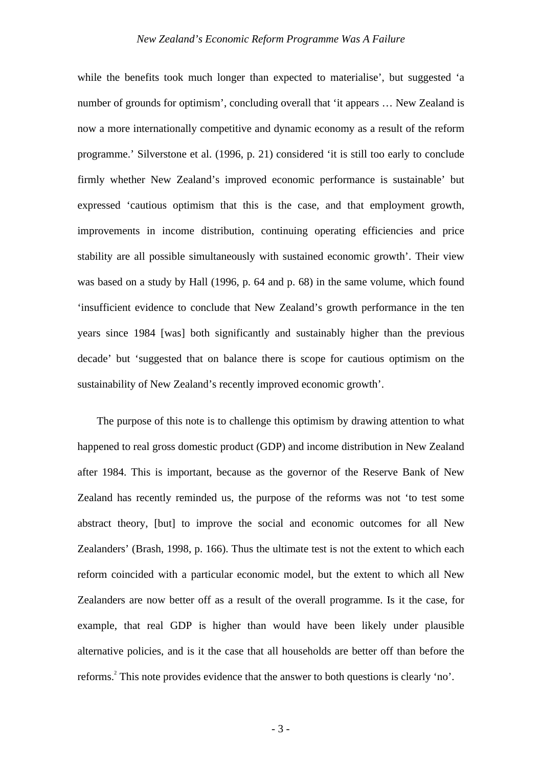while the benefits took much longer than expected to materialise', but suggested 'a number of grounds for optimism', concluding overall that 'it appears … New Zealand is now a more internationally competitive and dynamic economy as a result of the reform programme.' Silverstone et al. (1996, p. 21) considered 'it is still too early to conclude firmly whether New Zealand's improved economic performance is sustainable' but expressed 'cautious optimism that this is the case, and that employment growth, improvements in income distribution, continuing operating efficiencies and price stability are all possible simultaneously with sustained economic growth'. Their view was based on a study by Hall (1996, p. 64 and p. 68) in the same volume, which found 'insufficient evidence to conclude that New Zealand's growth performance in the ten years since 1984 [was] both significantly and sustainably higher than the previous decade' but 'suggested that on balance there is scope for cautious optimism on the sustainability of New Zealand's recently improved economic growth'.

The purpose of this note is to challenge this optimism by drawing attention to what happened to real gross domestic product (GDP) and income distribution in New Zealand after 1984. This is important, because as the governor of the Reserve Bank of New Zealand has recently reminded us, the purpose of the reforms was not 'to test some abstract theory, [but] to improve the social and economic outcomes for all New Zealanders' (Brash, 1998, p. 166). Thus the ultimate test is not the extent to which each reform coincided with a particular economic model, but the extent to which all New Zealanders are now better off as a result of the overall programme. Is it the case, for example, that real GDP is higher than would have been likely under plausible alternative policies, and is it the case that all households are better off than before the reforms.<sup>2</sup> This note provides evidence that the answer to both questions is clearly 'no'.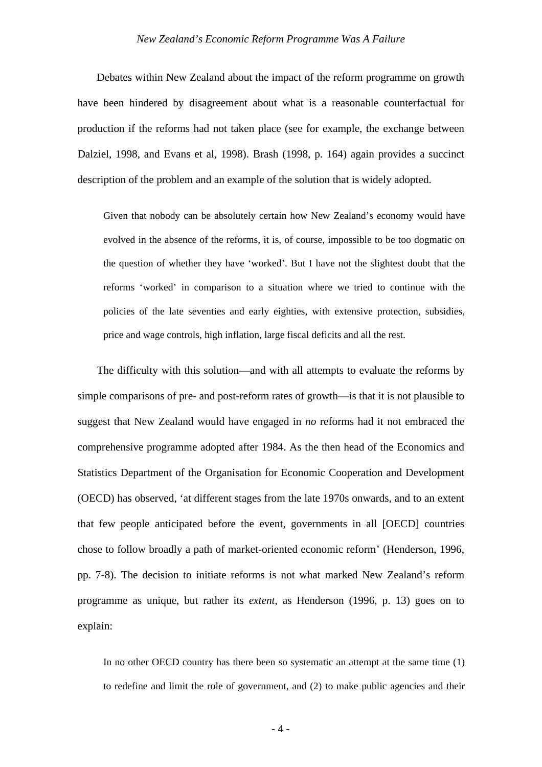Debates within New Zealand about the impact of the reform programme on growth have been hindered by disagreement about what is a reasonable counterfactual for production if the reforms had not taken place (see for example, the exchange between Dalziel, 1998, and Evans et al, 1998). Brash (1998, p. 164) again provides a succinct description of the problem and an example of the solution that is widely adopted.

Given that nobody can be absolutely certain how New Zealand's economy would have evolved in the absence of the reforms, it is, of course, impossible to be too dogmatic on the question of whether they have 'worked'. But I have not the slightest doubt that the reforms 'worked' in comparison to a situation where we tried to continue with the policies of the late seventies and early eighties, with extensive protection, subsidies, price and wage controls, high inflation, large fiscal deficits and all the rest.

The difficulty with this solution—and with all attempts to evaluate the reforms by simple comparisons of pre- and post-reform rates of growth—is that it is not plausible to suggest that New Zealand would have engaged in *no* reforms had it not embraced the comprehensive programme adopted after 1984. As the then head of the Economics and Statistics Department of the Organisation for Economic Cooperation and Development (OECD) has observed, 'at different stages from the late 1970s onwards, and to an extent that few people anticipated before the event, governments in all [OECD] countries chose to follow broadly a path of market-oriented economic reform' (Henderson, 1996, pp. 7-8). The decision to initiate reforms is not what marked New Zealand's reform programme as unique, but rather its *extent*, as Henderson (1996, p. 13) goes on to explain:

In no other OECD country has there been so systematic an attempt at the same time (1) to redefine and limit the role of government, and (2) to make public agencies and their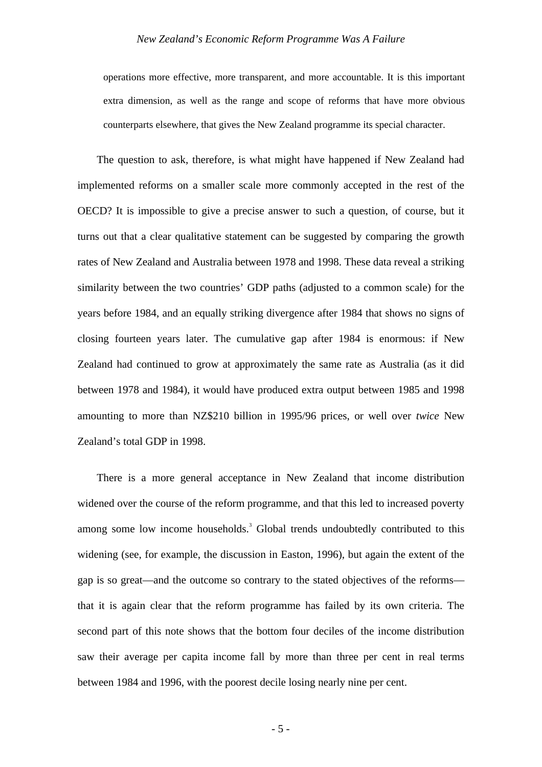operations more effective, more transparent, and more accountable. It is this important extra dimension, as well as the range and scope of reforms that have more obvious counterparts elsewhere, that gives the New Zealand programme its special character.

The question to ask, therefore, is what might have happened if New Zealand had implemented reforms on a smaller scale more commonly accepted in the rest of the OECD? It is impossible to give a precise answer to such a question, of course, but it turns out that a clear qualitative statement can be suggested by comparing the growth rates of New Zealand and Australia between 1978 and 1998. These data reveal a striking similarity between the two countries' GDP paths (adjusted to a common scale) for the years before 1984, and an equally striking divergence after 1984 that shows no signs of closing fourteen years later. The cumulative gap after 1984 is enormous: if New Zealand had continued to grow at approximately the same rate as Australia (as it did between 1978 and 1984), it would have produced extra output between 1985 and 1998 amounting to more than NZ\$210 billion in 1995/96 prices, or well over *twice* New Zealand's total GDP in 1998.

There is a more general acceptance in New Zealand that income distribution widened over the course of the reform programme, and that this led to increased poverty among some low income households.<sup>3</sup> Global trends undoubtedly contributed to this widening (see, for example, the discussion in Easton, 1996), but again the extent of the gap is so great—and the outcome so contrary to the stated objectives of the reforms that it is again clear that the reform programme has failed by its own criteria. The second part of this note shows that the bottom four deciles of the income distribution saw their average per capita income fall by more than three per cent in real terms between 1984 and 1996, with the poorest decile losing nearly nine per cent.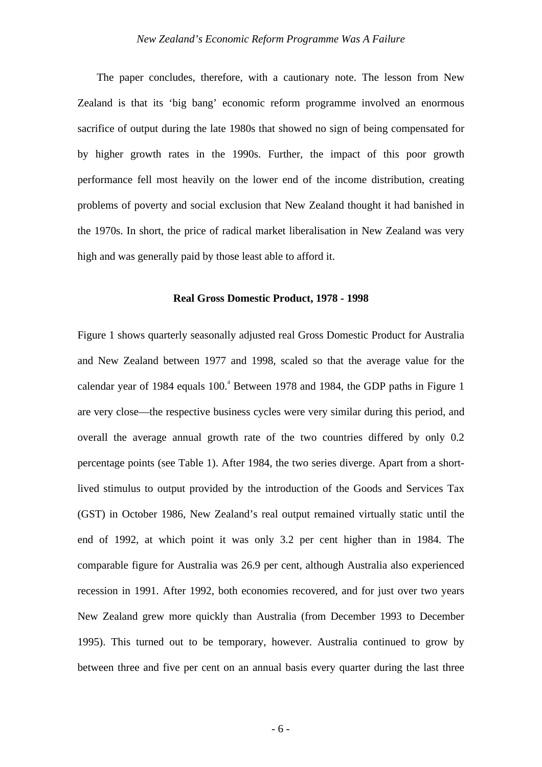The paper concludes, therefore, with a cautionary note. The lesson from New Zealand is that its 'big bang' economic reform programme involved an enormous sacrifice of output during the late 1980s that showed no sign of being compensated for by higher growth rates in the 1990s. Further, the impact of this poor growth performance fell most heavily on the lower end of the income distribution, creating problems of poverty and social exclusion that New Zealand thought it had banished in the 1970s. In short, the price of radical market liberalisation in New Zealand was very high and was generally paid by those least able to afford it.

#### **Real Gross Domestic Product, 1978 - 1998**

Figure 1 shows quarterly seasonally adjusted real Gross Domestic Product for Australia and New Zealand between 1977 and 1998, scaled so that the average value for the calendar year of 1984 equals 100.<sup>4</sup> Between 1978 and 1984, the GDP paths in Figure 1 are very close—the respective business cycles were very similar during this period, and overall the average annual growth rate of the two countries differed by only 0.2 percentage points (see Table 1). After 1984, the two series diverge. Apart from a shortlived stimulus to output provided by the introduction of the Goods and Services Tax (GST) in October 1986, New Zealand's real output remained virtually static until the end of 1992, at which point it was only 3.2 per cent higher than in 1984. The comparable figure for Australia was 26.9 per cent, although Australia also experienced recession in 1991. After 1992, both economies recovered, and for just over two years New Zealand grew more quickly than Australia (from December 1993 to December 1995). This turned out to be temporary, however. Australia continued to grow by between three and five per cent on an annual basis every quarter during the last three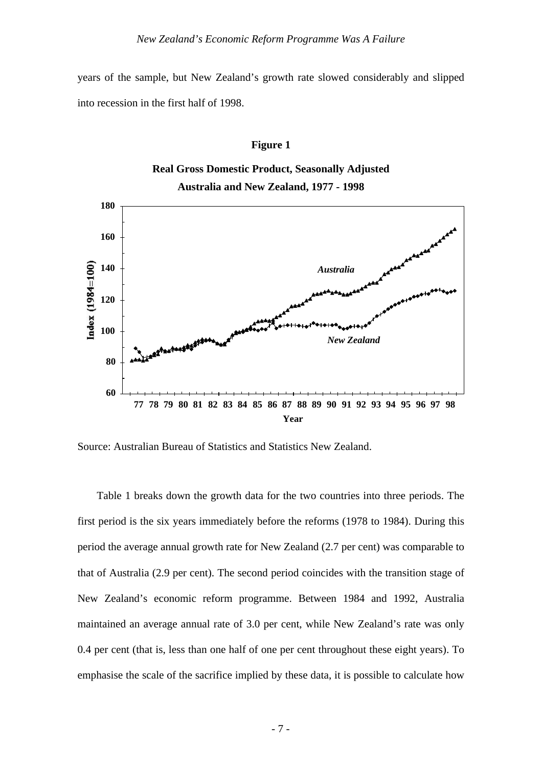years of the sample, but New Zealand's growth rate slowed considerably and slipped into recession in the first half of 1998.

#### **Figure 1**





Source: Australian Bureau of Statistics and Statistics New Zealand.

Table 1 breaks down the growth data for the two countries into three periods. The first period is the six years immediately before the reforms (1978 to 1984). During this period the average annual growth rate for New Zealand (2.7 per cent) was comparable to that of Australia (2.9 per cent). The second period coincides with the transition stage of New Zealand's economic reform programme. Between 1984 and 1992, Australia maintained an average annual rate of 3.0 per cent, while New Zealand's rate was only 0.4 per cent (that is, less than one half of one per cent throughout these eight years). To emphasise the scale of the sacrifice implied by these data, it is possible to calculate how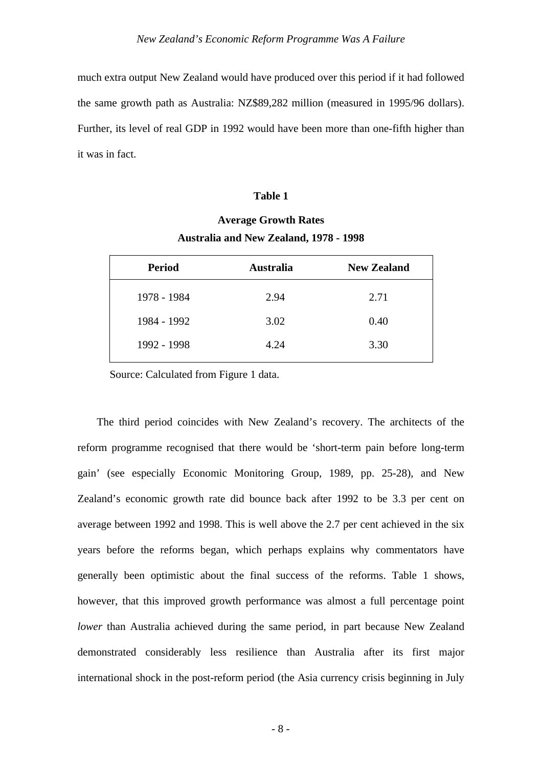much extra output New Zealand would have produced over this period if it had followed the same growth path as Australia: NZ\$89,282 million (measured in 1995/96 dollars). Further, its level of real GDP in 1992 would have been more than one-fifth higher than it was in fact.

#### **Table 1**

# **Average Growth Rates Australia and New Zealand, 1978 - 1998**

| <b>Period</b> | <b>Australia</b> | <b>New Zealand</b> |
|---------------|------------------|--------------------|
| 1978 - 1984   | 2.94             | 2.71               |
| 1984 - 1992   | 3.02             | 0.40               |
| 1992 - 1998   | 4.24             | 3.30               |

Source: Calculated from Figure 1 data.

The third period coincides with New Zealand's recovery. The architects of the reform programme recognised that there would be 'short-term pain before long-term gain' (see especially Economic Monitoring Group, 1989, pp. 25-28), and New Zealand's economic growth rate did bounce back after 1992 to be 3.3 per cent on average between 1992 and 1998. This is well above the 2.7 per cent achieved in the six years before the reforms began, which perhaps explains why commentators have generally been optimistic about the final success of the reforms. Table 1 shows, however, that this improved growth performance was almost a full percentage point *lower* than Australia achieved during the same period, in part because New Zealand demonstrated considerably less resilience than Australia after its first major international shock in the post-reform period (the Asia currency crisis beginning in July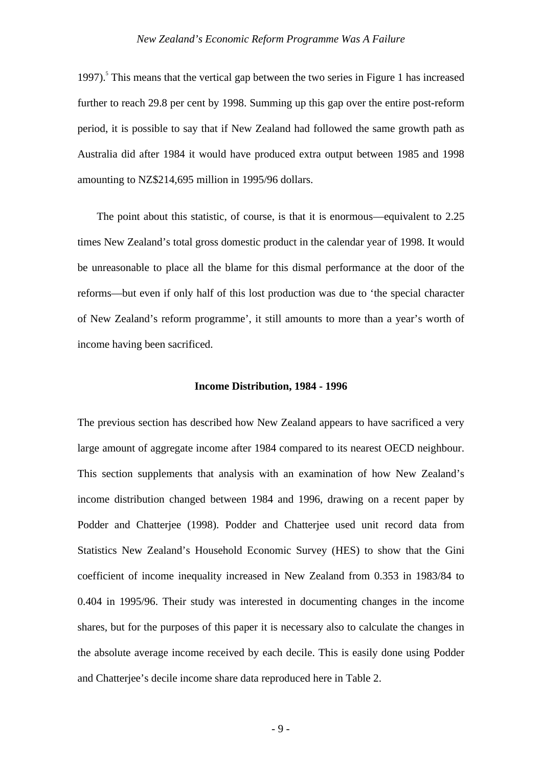1997).<sup>5</sup> This means that the vertical gap between the two series in Figure 1 has increased further to reach 29.8 per cent by 1998. Summing up this gap over the entire post-reform period, it is possible to say that if New Zealand had followed the same growth path as Australia did after 1984 it would have produced extra output between 1985 and 1998 amounting to NZ\$214,695 million in 1995/96 dollars.

The point about this statistic, of course, is that it is enormous—equivalent to 2.25 times New Zealand's total gross domestic product in the calendar year of 1998. It would be unreasonable to place all the blame for this dismal performance at the door of the reforms—but even if only half of this lost production was due to 'the special character of New Zealand's reform programme', it still amounts to more than a year's worth of income having been sacrificed.

#### **Income Distribution, 1984 - 1996**

The previous section has described how New Zealand appears to have sacrificed a very large amount of aggregate income after 1984 compared to its nearest OECD neighbour. This section supplements that analysis with an examination of how New Zealand's income distribution changed between 1984 and 1996, drawing on a recent paper by Podder and Chatterjee (1998). Podder and Chatterjee used unit record data from Statistics New Zealand's Household Economic Survey (HES) to show that the Gini coefficient of income inequality increased in New Zealand from 0.353 in 1983/84 to 0.404 in 1995/96. Their study was interested in documenting changes in the income shares, but for the purposes of this paper it is necessary also to calculate the changes in the absolute average income received by each decile. This is easily done using Podder and Chatterjee's decile income share data reproduced here in Table 2.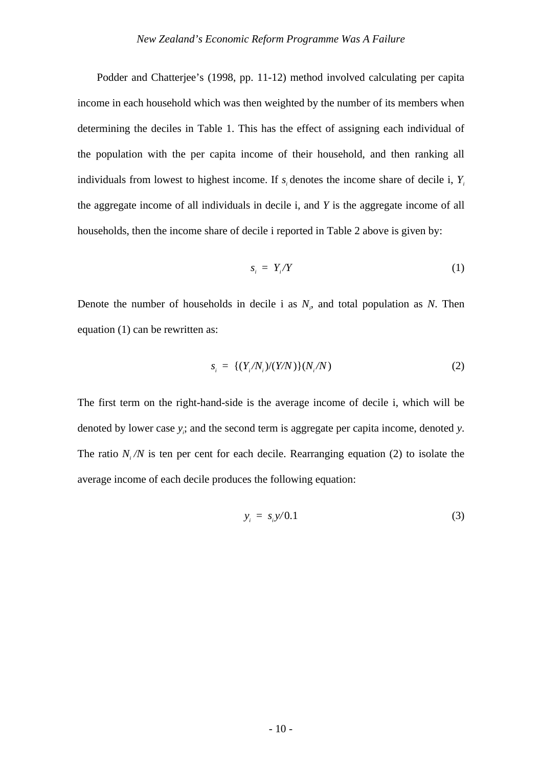Podder and Chatterjee's (1998, pp. 11-12) method involved calculating per capita income in each household which was then weighted by the number of its members when determining the deciles in Table 1. This has the effect of assigning each individual of the population with the per capita income of their household, and then ranking all individuals from lowest to highest income. If *s<sup>i</sup>* denotes the income share of decile i, *Y<sup>i</sup>* the aggregate income of all individuals in decile i, and *Y* is the aggregate income of all households, then the income share of decile i reported in Table 2 above is given by:

$$
s_i = Y_i/Y \tag{1}
$$

Denote the number of households in decile i as  $N_i$ , and total population as  $N$ . Then equation (1) can be rewritten as:

$$
s_i = \{ (Y_i/N_i)/(Y/N) \} (N_i/N) \tag{2}
$$

The first term on the right-hand-side is the average income of decile i, which will be denoted by lower case *y<sup>i</sup>* ; and the second term is aggregate per capita income, denoted *y*. The ratio  $N_i/N$  is ten per cent for each decile. Rearranging equation (2) to isolate the average income of each decile produces the following equation:

$$
y_i = s_i y/0.1 \tag{3}
$$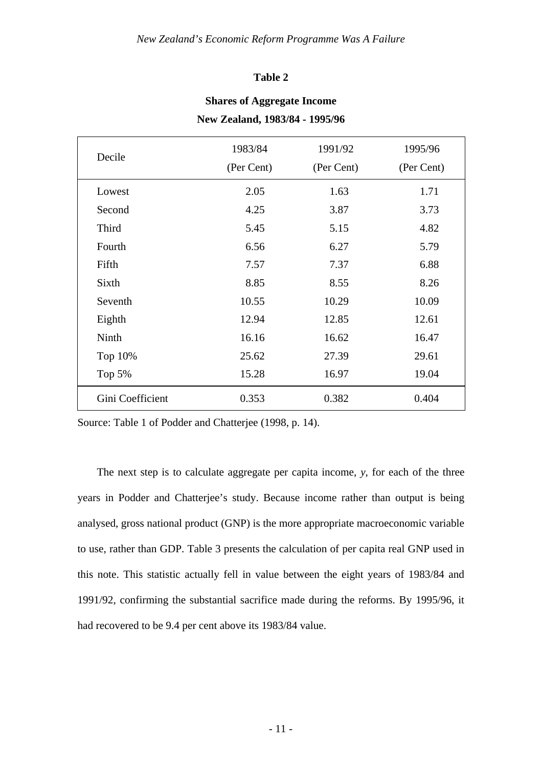#### **Table 2**

| Decile           | 1983/84<br>(Per Cent) | 1991/92<br>(Per Cent) | 1995/96<br>(Per Cent) |
|------------------|-----------------------|-----------------------|-----------------------|
| Lowest           | 2.05                  | 1.63                  | 1.71                  |
| Second           | 4.25                  | 3.87                  | 3.73                  |
| Third            | 5.45                  | 5.15                  | 4.82                  |
| Fourth           | 6.56                  | 6.27                  | 5.79                  |
| Fifth            | 7.57                  | 7.37                  | 6.88                  |
| Sixth            | 8.85                  | 8.55                  | 8.26                  |
| Seventh          | 10.55                 | 10.29                 | 10.09                 |
| Eighth           | 12.94                 | 12.85                 | 12.61                 |
| Ninth            | 16.16                 | 16.62                 | 16.47                 |
| Top 10%          | 25.62                 | 27.39                 | 29.61                 |
| Top 5%           | 15.28                 | 16.97                 | 19.04                 |
| Gini Coefficient | 0.353                 | 0.382                 | 0.404                 |

## **Shares of Aggregate Income New Zealand, 1983/84 - 1995/96**

Source: Table 1 of Podder and Chatterjee (1998, p. 14).

The next step is to calculate aggregate per capita income, *y*, for each of the three years in Podder and Chatterjee's study. Because income rather than output is being analysed, gross national product (GNP) is the more appropriate macroeconomic variable to use, rather than GDP. Table 3 presents the calculation of per capita real GNP used in this note. This statistic actually fell in value between the eight years of 1983/84 and 1991/92, confirming the substantial sacrifice made during the reforms. By 1995/96, it had recovered to be 9.4 per cent above its 1983/84 value.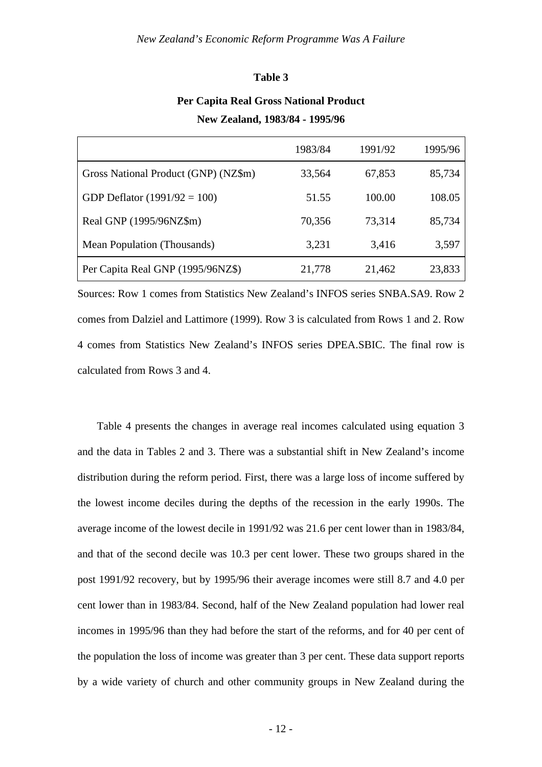#### **Table 3**

## **Per Capita Real Gross National Product New Zealand, 1983/84 - 1995/96**

|                                      | 1983/84 | 1991/92 | 1995/96 |
|--------------------------------------|---------|---------|---------|
| Gross National Product (GNP) (NZ\$m) | 33,564  | 67,853  | 85,734  |
| GDP Deflator $(1991/92 = 100)$       | 51.55   | 100.00  | 108.05  |
| Real GNP (1995/96NZ\$m)              | 70,356  | 73,314  | 85,734  |
| Mean Population (Thousands)          | 3,231   | 3,416   | 3,597   |
| Per Capita Real GNP (1995/96NZ\$)    | 21,778  | 21,462  | 23,833  |

Sources: Row 1 comes from Statistics New Zealand's INFOS series SNBA.SA9. Row 2 comes from Dalziel and Lattimore (1999). Row 3 is calculated from Rows 1 and 2. Row 4 comes from Statistics New Zealand's INFOS series DPEA.SBIC. The final row is calculated from Rows 3 and 4.

Table 4 presents the changes in average real incomes calculated using equation 3 and the data in Tables 2 and 3. There was a substantial shift in New Zealand's income distribution during the reform period. First, there was a large loss of income suffered by the lowest income deciles during the depths of the recession in the early 1990s. The average income of the lowest decile in 1991/92 was 21.6 per cent lower than in 1983/84, and that of the second decile was 10.3 per cent lower. These two groups shared in the post 1991/92 recovery, but by 1995/96 their average incomes were still 8.7 and 4.0 per cent lower than in 1983/84. Second, half of the New Zealand population had lower real incomes in 1995/96 than they had before the start of the reforms, and for 40 per cent of the population the loss of income was greater than 3 per cent. These data support reports by a wide variety of church and other community groups in New Zealand during the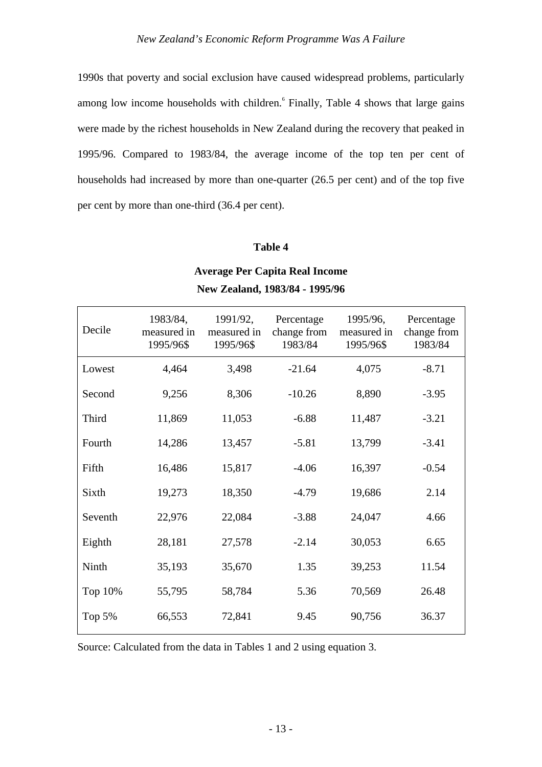1990s that poverty and social exclusion have caused widespread problems, particularly among low income households with children. Finally, Table 4 shows that large gains were made by the richest households in New Zealand during the recovery that peaked in 1995/96. Compared to 1983/84, the average income of the top ten per cent of households had increased by more than one-quarter (26.5 per cent) and of the top five per cent by more than one-third (36.4 per cent).

### **Table 4**

| Decile  | 1983/84,<br>measured in<br>1995/96\$ | 1991/92,<br>measured in<br>1995/96\$ | Percentage<br>change from<br>1983/84 | 1995/96,<br>measured in<br>1995/96\$ | Percentage<br>change from<br>1983/84 |
|---------|--------------------------------------|--------------------------------------|--------------------------------------|--------------------------------------|--------------------------------------|
| Lowest  | 4,464                                | 3,498                                | $-21.64$                             | 4,075                                | $-8.71$                              |
| Second  | 9,256                                | 8,306                                | $-10.26$                             | 8,890                                | $-3.95$                              |
| Third   | 11,869                               | 11,053                               | $-6.88$                              | 11,487                               | $-3.21$                              |
| Fourth  | 14,286                               | 13,457                               | $-5.81$                              | 13,799                               | $-3.41$                              |
| Fifth   | 16,486                               | 15,817                               | $-4.06$                              | 16,397                               | $-0.54$                              |
| Sixth   | 19,273                               | 18,350                               | $-4.79$                              | 19,686                               | 2.14                                 |
| Seventh | 22,976                               | 22,084                               | $-3.88$                              | 24,047                               | 4.66                                 |
| Eighth  | 28,181                               | 27,578                               | $-2.14$                              | 30,053                               | 6.65                                 |
| Ninth   | 35,193                               | 35,670                               | 1.35                                 | 39,253                               | 11.54                                |
| Top 10% | 55,795                               | 58,784                               | 5.36                                 | 70,569                               | 26.48                                |
| Top 5%  | 66,553                               | 72,841                               | 9.45                                 | 90,756                               | 36.37                                |
|         |                                      |                                      |                                      |                                      |                                      |

## **Average Per Capita Real Income New Zealand, 1983/84 - 1995/96**

Source: Calculated from the data in Tables 1 and 2 using equation 3.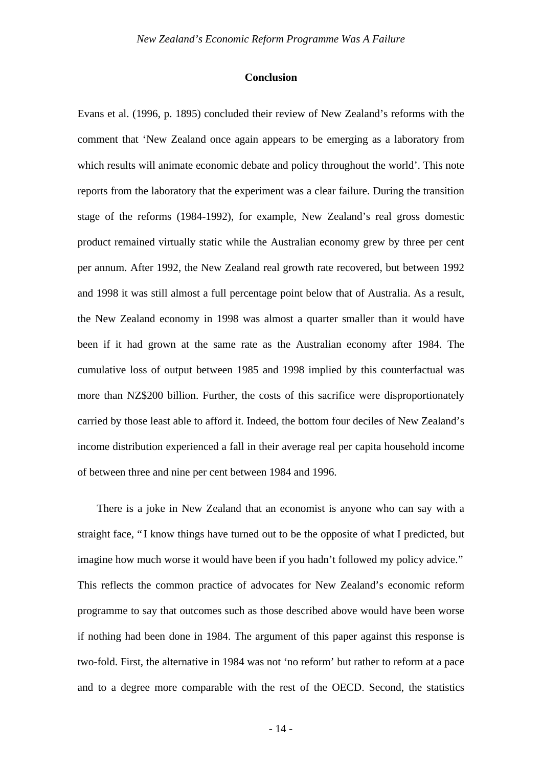#### **Conclusion**

Evans et al. (1996, p. 1895) concluded their review of New Zealand's reforms with the comment that 'New Zealand once again appears to be emerging as a laboratory from which results will animate economic debate and policy throughout the world'. This note reports from the laboratory that the experiment was a clear failure. During the transition stage of the reforms (1984-1992), for example, New Zealand's real gross domestic product remained virtually static while the Australian economy grew by three per cent per annum. After 1992, the New Zealand real growth rate recovered, but between 1992 and 1998 it was still almost a full percentage point below that of Australia. As a result, the New Zealand economy in 1998 was almost a quarter smaller than it would have been if it had grown at the same rate as the Australian economy after 1984. The cumulative loss of output between 1985 and 1998 implied by this counterfactual was more than NZ\$200 billion. Further, the costs of this sacrifice were disproportionately carried by those least able to afford it. Indeed, the bottom four deciles of New Zealand's income distribution experienced a fall in their average real per capita household income of between three and nine per cent between 1984 and 1996.

There is a joke in New Zealand that an economist is anyone who can say with a straight face, "I know things have turned out to be the opposite of what I predicted, but imagine how much worse it would have been if you hadn't followed my policy advice." This reflects the common practice of advocates for New Zealand's economic reform programme to say that outcomes such as those described above would have been worse if nothing had been done in 1984. The argument of this paper against this response is two-fold. First, the alternative in 1984 was not 'no reform' but rather to reform at a pace and to a degree more comparable with the rest of the OECD. Second, the statistics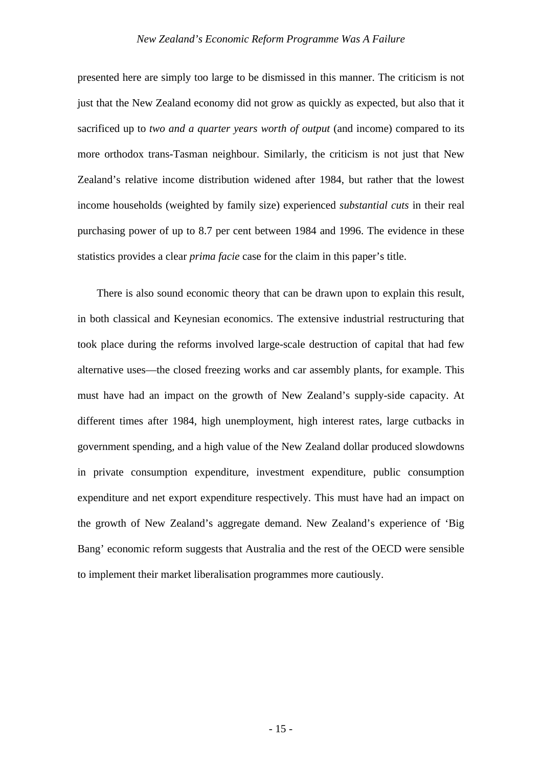presented here are simply too large to be dismissed in this manner. The criticism is not just that the New Zealand economy did not grow as quickly as expected, but also that it sacrificed up to *two and a quarter years worth of output* (and income) compared to its more orthodox trans-Tasman neighbour. Similarly, the criticism is not just that New Zealand's relative income distribution widened after 1984, but rather that the lowest income households (weighted by family size) experienced *substantial cuts* in their real purchasing power of up to 8.7 per cent between 1984 and 1996. The evidence in these statistics provides a clear *prima facie* case for the claim in this paper's title.

There is also sound economic theory that can be drawn upon to explain this result, in both classical and Keynesian economics. The extensive industrial restructuring that took place during the reforms involved large-scale destruction of capital that had few alternative uses—the closed freezing works and car assembly plants, for example. This must have had an impact on the growth of New Zealand's supply-side capacity. At different times after 1984, high unemployment, high interest rates, large cutbacks in government spending, and a high value of the New Zealand dollar produced slowdowns in private consumption expenditure, investment expenditure, public consumption expenditure and net export expenditure respectively. This must have had an impact on the growth of New Zealand's aggregate demand. New Zealand's experience of 'Big Bang' economic reform suggests that Australia and the rest of the OECD were sensible to implement their market liberalisation programmes more cautiously.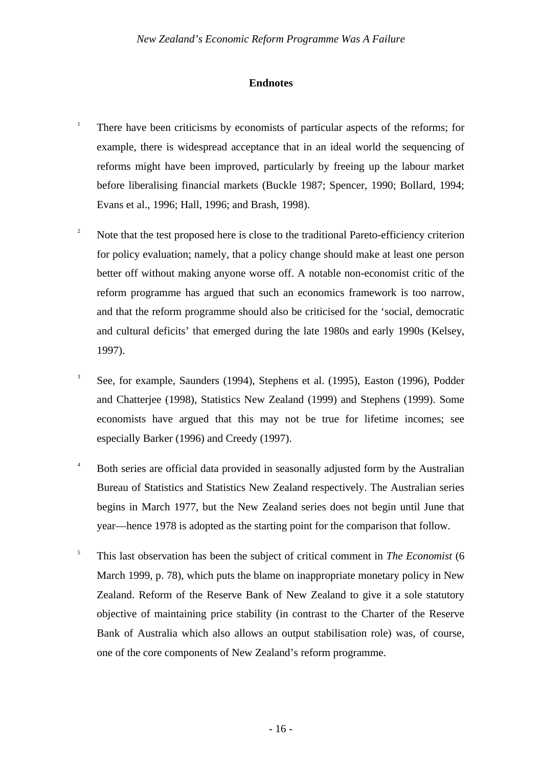### **Endnotes**

- 1 There have been criticisms by economists of particular aspects of the reforms; for example, there is widespread acceptance that in an ideal world the sequencing of reforms might have been improved, particularly by freeing up the labour market before liberalising financial markets (Buckle 1987; Spencer, 1990; Bollard, 1994; Evans et al., 1996; Hall, 1996; and Brash, 1998).
- <sup>2</sup> Note that the test proposed here is close to the traditional Pareto-efficiency criterion for policy evaluation; namely, that a policy change should make at least one person better off without making anyone worse off. A notable non-economist critic of the reform programme has argued that such an economics framework is too narrow, and that the reform programme should also be criticised for the 'social, democratic and cultural deficits' that emerged during the late 1980s and early 1990s (Kelsey, 1997).
- 3 See, for example, Saunders (1994), Stephens et al. (1995), Easton (1996), Podder and Chatterjee (1998), Statistics New Zealand (1999) and Stephens (1999). Some economists have argued that this may not be true for lifetime incomes; see especially Barker (1996) and Creedy (1997).
- <sup>4</sup> Both series are official data provided in seasonally adjusted form by the Australian Bureau of Statistics and Statistics New Zealand respectively. The Australian series begins in March 1977, but the New Zealand series does not begin until June that year—hence 1978 is adopted as the starting point for the comparison that follow.
- 5 This last observation has been the subject of critical comment in *The Economist* (6 March 1999, p. 78), which puts the blame on inappropriate monetary policy in New Zealand. Reform of the Reserve Bank of New Zealand to give it a sole statutory objective of maintaining price stability (in contrast to the Charter of the Reserve Bank of Australia which also allows an output stabilisation role) was, of course, one of the core components of New Zealand's reform programme.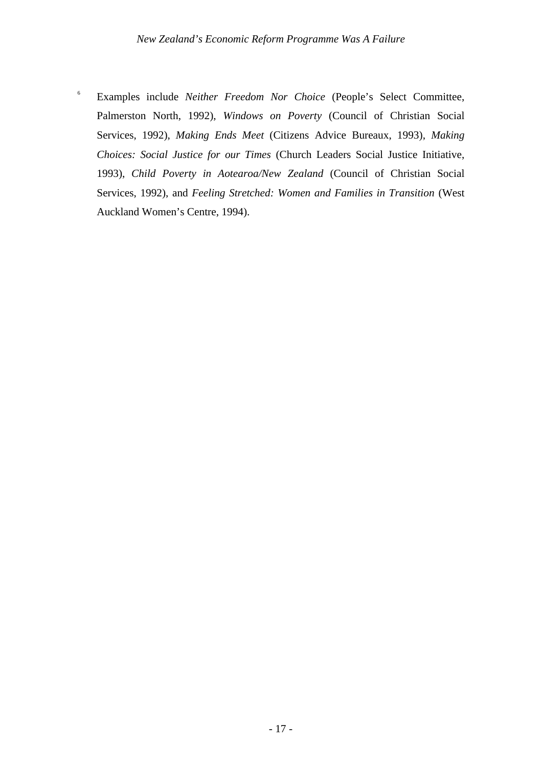6 Examples include *Neither Freedom Nor Choice* (People's Select Committee, Palmerston North, 1992), *Windows on Poverty* (Council of Christian Social Services, 1992), *Making Ends Meet* (Citizens Advice Bureaux, 1993), *Making Choices: Social Justice for our Times* (Church Leaders Social Justice Initiative, 1993), *Child Poverty in Aotearoa/New Zealand* (Council of Christian Social Services, 1992), and *Feeling Stretched: Women and Families in Transition* (West Auckland Women's Centre, 1994).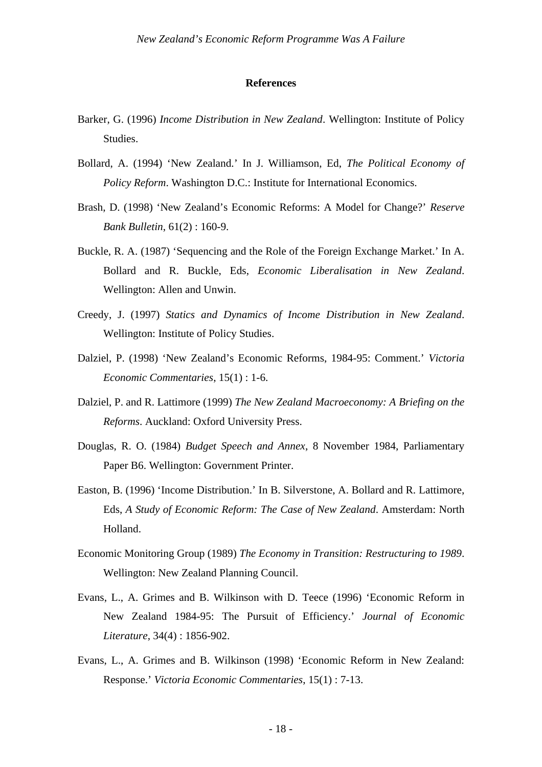#### **References**

- Barker, G. (1996) *Income Distribution in New Zealand*. Wellington: Institute of Policy Studies.
- Bollard, A. (1994) 'New Zealand.' In J. Williamson, Ed, *The Political Economy of Policy Reform*. Washington D.C.: Institute for International Economics.
- Brash, D. (1998) 'New Zealand's Economic Reforms: A Model for Change?' *Reserve Bank Bulletin*, 61(2) : 160-9.
- Buckle, R. A. (1987) 'Sequencing and the Role of the Foreign Exchange Market.' In A. Bollard and R. Buckle, Eds, *Economic Liberalisation in New Zealand*. Wellington: Allen and Unwin.
- Creedy, J. (1997) *Statics and Dynamics of Income Distribution in New Zealand*. Wellington: Institute of Policy Studies.
- Dalziel, P. (1998) 'New Zealand's Economic Reforms, 1984-95: Comment.' *Victoria Economic Commentaries*, 15(1) : 1-6.
- Dalziel, P. and R. Lattimore (1999) *The New Zealand Macroeconomy: A Briefing on the Reforms*. Auckland: Oxford University Press.
- Douglas, R. O. (1984) *Budget Speech and Annex*, 8 November 1984, Parliamentary Paper B6. Wellington: Government Printer.
- Easton, B. (1996) 'Income Distribution.' In B. Silverstone, A. Bollard and R. Lattimore, Eds, *A Study of Economic Reform: The Case of New Zealand*. Amsterdam: North Holland.
- Economic Monitoring Group (1989) *The Economy in Transition: Restructuring to 1989*. Wellington: New Zealand Planning Council.
- Evans, L., A. Grimes and B. Wilkinson with D. Teece (1996) 'Economic Reform in New Zealand 1984-95: The Pursuit of Efficiency.' *Journal of Economic Literature*, 34(4) : 1856-902.
- Evans, L., A. Grimes and B. Wilkinson (1998) 'Economic Reform in New Zealand: Response.' *Victoria Economic Commentaries*, 15(1) : 7-13.